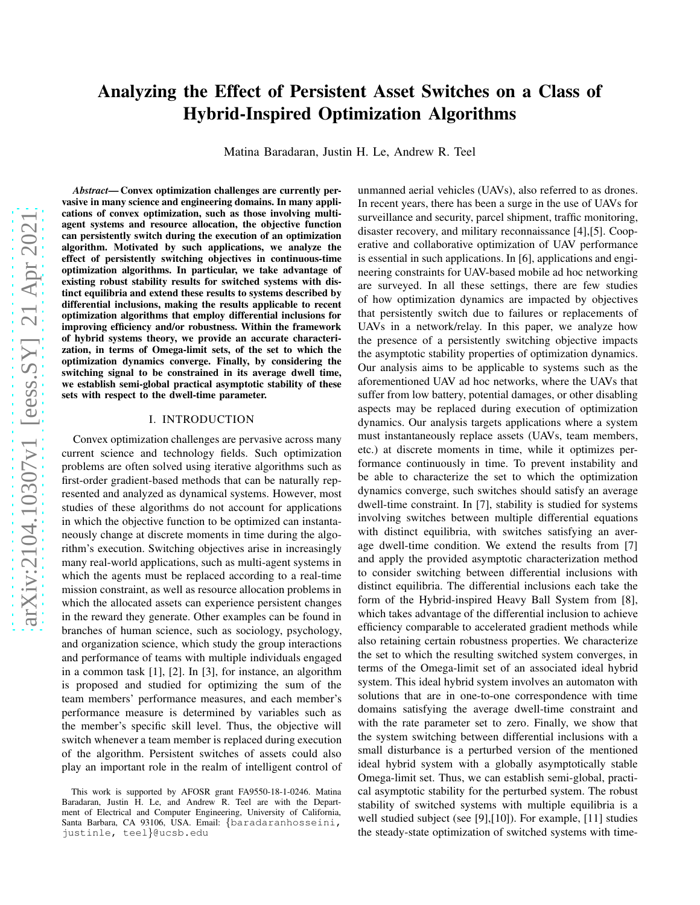# Analyzing the Effect of Persistent Asset Switches on a Class of Hybrid-Inspired Optimization Algorithms

Matina Baradaran, Justin H. Le, Andrew R. Teel

*Abstract*— Convex optimization challenges are currently pervasive in many science and engineering domains. In many applications of convex optimization, such as those involving multiagent systems and resource allocation, the objective function can persistently switch during the execution of an optimization algorithm. Motivated by such applications, we analyze the effect of persistently switching objectives in continuous-time optimization algorithms. In particular, we take advantage of existing robust stability results for switched systems with distinct equilibria and extend these results to systems described by differential inclusions, making the results applicable to recent optimization algorithms that employ differential inclusions for improving efficiency and/or robustness. Within the framework of hybrid systems theory, we provide an accurate characterization, in terms of Omega-limit sets, of the set to which the optimization dynamics converge. Finally, by considering the switching signal to be constrained in its average dwell time, we establish semi-global practical asymptotic stability of these sets with respect to the dwell-time parameter.

# I. INTRODUCTION

Convex optimization challenges are pervasive across many current science and technology fields. Such optimization problems are often solved using iterative algorithms such as first-order gradient-based methods that can be naturally represented and analyzed as dynamical systems. However, most studies of these algorithms do not account for applications in which the objective function to be optimized can instantaneously change at discrete moments in time during the algorithm's execution. Switching objectives arise in increasingly many real-world applications, such as multi-agent systems in which the agents must be replaced according to a real-time mission constraint, as well as resource allocation problems in which the allocated assets can experience persistent changes in the reward they generate. Other examples can be found in branches of human science, such as sociology, psychology, and organization science, which study the group interactions and performance of teams with multiple individuals engaged in a common task [1], [2]. In [3], for instance, an algorithm is proposed and studied for optimizing the sum of the team members' performance measures, and each member's performance measure is determined by variables such as the member's specific skill level. Thus, the objective will switch whenever a team member is replaced during execution of the algorithm. Persistent switches of assets could also play an important role in the realm of intelligent control of

unmanned aerial vehicles (UAVs), also referred to as drones. In recent years, there has been a surge in the use of UAVs for surveillance and security, parcel shipment, traffic monitoring, disaster recovery, and military reconnaissance [4],[5]. Cooperative and collaborative optimization of UAV performance is essential in such applications. In [6], applications and engineering constraints for UAV-based mobile ad hoc networking are surveyed. In all these settings, there are few studies of how optimization dynamics are impacted by objectives that persistently switch due to failures or replacements of UAVs in a network/relay. In this paper, we analyze how the presence of a persistently switching objective impacts the asymptotic stability properties of optimization dynamics. Our analysis aims to be applicable to systems such as the aforementioned UAV ad hoc networks, where the UAVs that suffer from low battery, potential damages, or other disabling aspects may be replaced during execution of optimization dynamics. Our analysis targets applications where a system must instantaneously replace assets (UAVs, team members, etc.) at discrete moments in time, while it optimizes performance continuously in time. To prevent instability and be able to characterize the set to which the optimization dynamics converge, such switches should satisfy an average dwell-time constraint. In [7], stability is studied for systems involving switches between multiple differential equations with distinct equilibria, with switches satisfying an average dwell-time condition. We extend the results from [7] and apply the provided asymptotic characterization method to consider switching between differential inclusions with distinct equilibria. The differential inclusions each take the form of the Hybrid-inspired Heavy Ball System from [8], which takes advantage of the differential inclusion to achieve efficiency comparable to accelerated gradient methods while also retaining certain robustness properties. We characterize the set to which the resulting switched system converges, in terms of the Omega-limit set of an associated ideal hybrid system. This ideal hybrid system involves an automaton with solutions that are in one-to-one correspondence with time domains satisfying the average dwell-time constraint and with the rate parameter set to zero. Finally, we show that the system switching between differential inclusions with a small disturbance is a perturbed version of the mentioned ideal hybrid system with a globally asymptotically stable Omega-limit set. Thus, we can establish semi-global, practical asymptotic stability for the perturbed system. The robust stability of switched systems with multiple equilibria is a well studied subject (see [9],[10]). For example, [11] studies the steady-state optimization of switched systems with time-

This work is supported by AFOSR grant FA9550-18-1-0246. Matina Baradaran, Justin H. Le, and Andrew R. Teel are with the Department of Electrical and Computer Engineering, University of California, Santa Barbara, CA 93106, USA. Email: {baradaranhosseini, justinle, teel}@ucsb.edu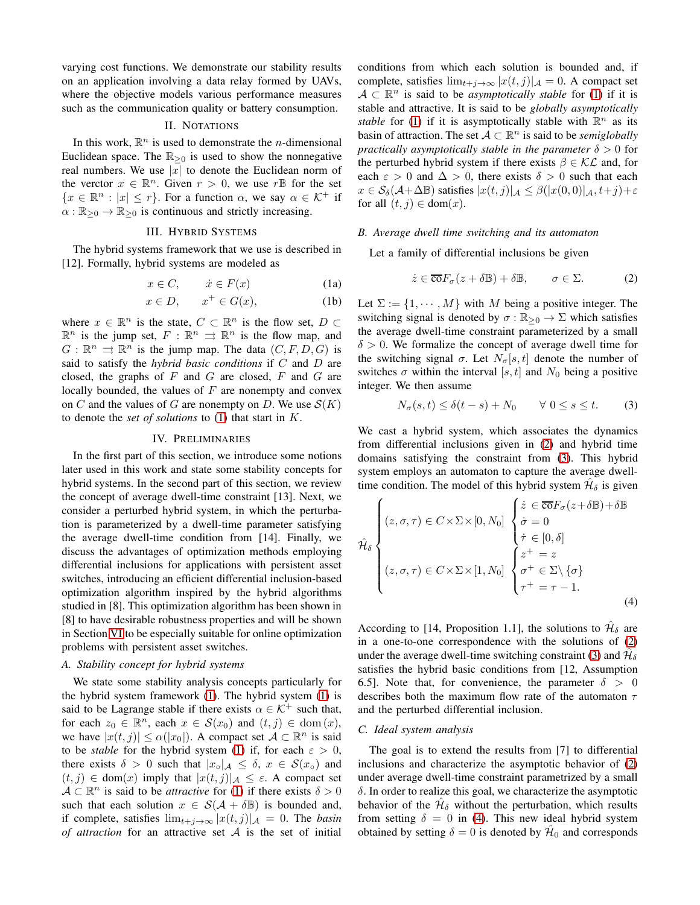varying cost functions. We demonstrate our stability results on an application involving a data relay formed by UAVs, where the objective models various performance measures such as the communication quality or battery consumption.

#### II. NOTATIONS

In this work,  $\mathbb{R}^n$  is used to demonstrate the *n*-dimensional Euclidean space. The  $\mathbb{R}_{\geq 0}$  is used to show the nonnegative real numbers. We use  $|x|$  to denote the Euclidean norm of the verctor  $x \in \mathbb{R}^n$ . Given  $r > 0$ , we use r<sup>B</sup> for the set  ${x \in \mathbb{R}^n : |x| \leq r}$ . For a function  $\alpha$ , we say  $\alpha \in \mathcal{K}^+$  if  $\alpha : \mathbb{R}_{\geq 0} \to \mathbb{R}_{\geq 0}$  is continuous and strictly increasing.

#### III. HYBRID SYSTEMS

The hybrid systems framework that we use is described in [12]. Formally, hybrid systems are modeled as

$$
x \in C, \qquad \dot{x} \in F(x) \tag{1a}
$$

$$
x \in D, \qquad x^+ \in G(x), \tag{1b}
$$

where  $x \in \mathbb{R}^n$  is the state,  $C \subset \mathbb{R}^n$  is the flow set,  $D \subset$  $\mathbb{R}^n$  is the jump set,  $F : \mathbb{R}^n \implies \mathbb{R}^n$  is the flow map, and  $G: \mathbb{R}^n \rightrightarrows \mathbb{R}^n$  is the jump map. The data  $(C, F, D, G)$  is said to satisfy the *hybrid basic conditions* if C and D are closed, the graphs of  $F$  and  $G$  are closed,  $F$  and  $G$  are locally bounded, the values of  $F$  are nonempty and convex on C and the values of G are nonempty on D. We use  $\mathcal{S}(K)$ to denote the *set of solutions* to [\(1\)](#page-1-0) that start in K.

#### IV. PRELIMINARIES

In the first part of this section, we introduce some notions later used in this work and state some stability concepts for hybrid systems. In the second part of this section, we review the concept of average dwell-time constraint [13]. Next, we consider a perturbed hybrid system, in which the perturbation is parameterized by a dwell-time parameter satisfying the average dwell-time condition from [14]. Finally, we discuss the advantages of optimization methods employing differential inclusions for applications with persistent asset switches, introducing an efficient differential inclusion-based optimization algorithm inspired by the hybrid algorithms studied in [8]. This optimization algorithm has been shown in [8] to have desirable robustness properties and will be shown in Section [VI](#page-3-0) to be especially suitable for online optimization problems with persistent asset switches.

# *A. Stability concept for hybrid systems*

We state some stability analysis concepts particularly for the hybrid system framework [\(1\)](#page-1-0). The hybrid system [\(1\)](#page-1-0) is said to be Lagrange stable if there exists  $\alpha \in \mathcal{K}^+$  such that, for each  $z_0 \in \mathbb{R}^n$ , each  $x \in \mathcal{S}(x_0)$  and  $(t, j) \in \text{dom}(x)$ , we have  $|x(t, j)| \leq \alpha(|x_0|)$ . A compact set  $\mathcal{A} \subset \mathbb{R}^n$  is said to be *stable* for the hybrid system [\(1\)](#page-1-0) if, for each  $\varepsilon > 0$ , there exists  $\delta > 0$  such that  $|x_{\circ}|_{\mathcal{A}} \leq \delta$ ,  $x \in \mathcal{S}(x_{\circ})$  and  $(t, j) \in \text{dom}(x)$  imply that  $|x(t, j)|_{\mathcal{A}} \leq \varepsilon$ . A compact set  $A \subset \mathbb{R}^n$  is said to be *attractive* for [\(1\)](#page-1-0) if there exists  $\delta > 0$ such that each solution  $x \in S(\mathcal{A} + \delta \mathbb{B})$  is bounded and, if complete, satisfies  $\lim_{t+j\to\infty} |x(t,j)|_{\mathcal{A}} = 0$ . The *basin of attraction* for an attractive set A is the set of initial conditions from which each solution is bounded and, if complete, satisfies  $\lim_{t+j\to\infty} |x(t,j)|_{\mathcal{A}} = 0$ . A compact set  $A \subset \mathbb{R}^n$  is said to be *asymptotically stable* for [\(1\)](#page-1-0) if it is stable and attractive. It is said to be *globally asymptotically stable* for [\(1\)](#page-1-0) if it is asymptotically stable with  $\mathbb{R}^n$  as its basin of attraction. The set  $A \subset \mathbb{R}^n$  is said to be *semiglobally practically asymptotically stable in the parameter*  $\delta > 0$  for the perturbed hybrid system if there exists  $\beta \in \mathcal{KL}$  and, for each  $\varepsilon > 0$  and  $\Delta > 0$ , there exists  $\delta > 0$  such that each  $x \in \mathcal{S}_{\delta}(\mathcal{A}+\Delta\mathbb{B})$  satisfies  $|x(t, j)|_{\mathcal{A}} \leq \beta(|x(0, 0)|_{\mathcal{A}}, t+j)+\varepsilon$ for all  $(t, j) \in \text{dom}(x)$ .

# <span id="page-1-4"></span><span id="page-1-0"></span>*B. Average dwell time switching and its automaton*

Let a family of differential inclusions be given

<span id="page-1-1"></span>
$$
\dot{z} \in \overline{\text{co}}F_{\sigma}(z + \delta \mathbb{B}) + \delta \mathbb{B}, \qquad \sigma \in \Sigma.
$$
 (2)

Let  $\Sigma := \{1, \dots, M\}$  with M being a positive integer. The switching signal is denoted by  $\sigma : \mathbb{R}_{\geq 0} \to \Sigma$  which satisfies the average dwell-time constraint parameterized by a small  $\delta > 0$ . We formalize the concept of average dwell time for the switching signal  $\sigma$ . Let  $N_{\sigma}[s, t]$  denote the number of switches  $\sigma$  within the interval [s, t] and  $N_0$  being a positive integer. We then assume

<span id="page-1-2"></span>
$$
N_{\sigma}(s,t) \le \delta(t-s) + N_0 \qquad \forall \ 0 \le s \le t. \tag{3}
$$

We cast a hybrid system, which associates the dynamics from differential inclusions given in [\(2\)](#page-1-1) and hybrid time domains satisfying the constraint from [\(3\)](#page-1-2). This hybrid system employs an automaton to capture the average dwelltime condition. The model of this hybrid system  $\hat{\mathcal{H}}_{\delta}$  is given

$$
\hat{\mathcal{H}}_{\delta} \begin{cases} (z, \sigma, \tau) \in C \times \Sigma \times [0, N_0] & \begin{cases} \dot{z} \in \overline{\text{co}}F_{\sigma}(z + \delta \mathbb{B}) + \delta \mathbb{B} \\ \dot{\sigma} = 0 \\ \dot{\tau} \in [0, \delta] \\ (z, \sigma, \tau) \in C \times \Sigma \times [1, N_0] & \begin{cases} z^+ = z \\ \sigma^+ \in \Sigma \setminus \{\sigma\} \\ \tau^+ = \tau - 1. \end{cases} \end{cases} \end{cases} \tag{4}
$$

<span id="page-1-3"></span>According to [14, Proposition 1.1], the solutions to  $\hat{\mathcal{H}}_{\delta}$  are in a one-to-one correspondence with the solutions of [\(2\)](#page-1-1) under the average dwell-time switching constraint [\(3\)](#page-1-2) and  $\hat{\mathcal{H}}_{\delta}$ satisfies the hybrid basic conditions from [12, Assumption 6.5]. Note that, for convenience, the parameter  $\delta > 0$ describes both the maximum flow rate of the automaton  $\tau$ and the perturbed differential inclusion.

#### *C. Ideal system analysis*

The goal is to extend the results from [7] to differential inclusions and characterize the asymptotic behavior of [\(2\)](#page-1-1) under average dwell-time constraint parametrized by a small  $\delta$ . In order to realize this goal, we characterize the asymptotic behavior of the  $\hat{\mathcal{H}}_{\delta}$  without the perturbation, which results from setting  $\delta = 0$  in [\(4\)](#page-1-3). This new ideal hybrid system obtained by setting  $\delta = 0$  is denoted by  $\hat{\mathcal{H}}_0$  and corresponds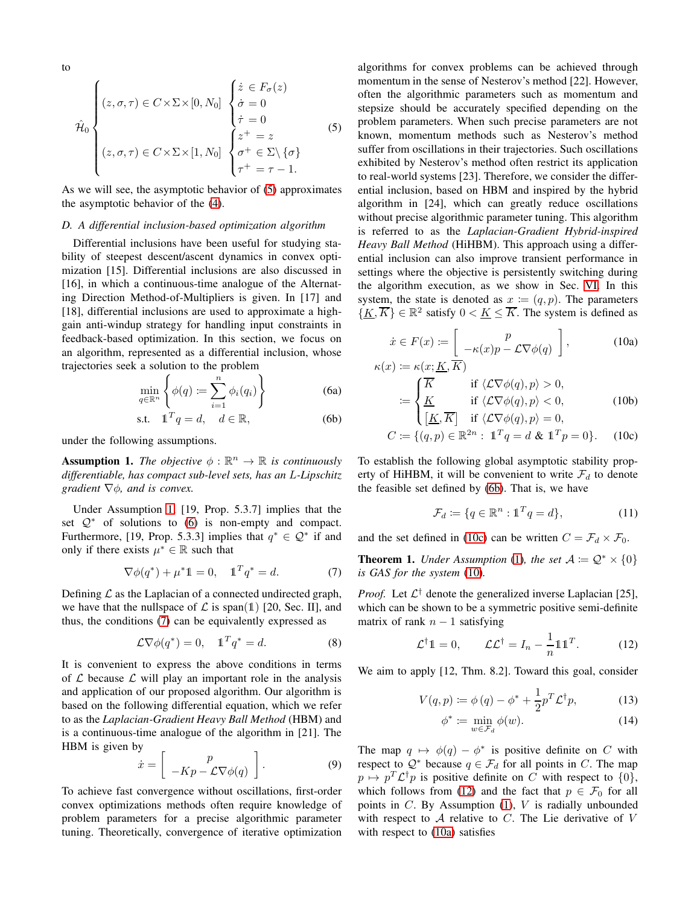to

$$
\hat{\mathcal{H}}_0 \begin{cases} (z, \sigma, \tau) \in C \times \Sigma \times [0, N_0] & \begin{cases} \dot{z} \in F_{\sigma}(z) \\ \dot{\sigma} = 0 \\ \dot{\tau} = 0 \\ (z, \sigma, \tau) \in C \times \Sigma \times [1, N_0] \end{cases} & \begin{cases} \dot{z}^+ = z \\ \dot{\sigma}^+ = z \\ \sigma^+ \in \Sigma \setminus \{\sigma\} \\ \tau^+ = \tau - 1. \end{cases} \end{cases} \tag{5}
$$

As we will see, the asymptotic behavior of [\(5\)](#page-2-0) approximates the asymptotic behavior of the [\(4\)](#page-1-3).

#### <span id="page-2-10"></span>*D. A differential inclusion-based optimization algorithm*

Differential inclusions have been useful for studying stability of steepest descent/ascent dynamics in convex optimization [15]. Differential inclusions are also discussed in [16], in which a continuous-time analogue of the Alternating Direction Method-of-Multipliers is given. In [17] and [18], differential inclusions are used to approximate a highgain anti-windup strategy for handling input constraints in feedback-based optimization. In this section, we focus on an algorithm, represented as a differential inclusion, whose trajectories seek a solution to the problem

$$
\min_{q \in \mathbb{R}^n} \left\{ \phi(q) := \sum_{i=1}^n \phi_i(q_i) \right\} \tag{6a}
$$

$$
\text{s.t.} \quad \mathbb{1}^T q = d, \quad d \in \mathbb{R}, \tag{6b}
$$

under the following assumptions.

<span id="page-2-1"></span>**Assumption 1.** The objective  $\phi : \mathbb{R}^n \to \mathbb{R}$  is continuously *differentiable, has compact sub-level sets, has an* L*-Lipschitz gradient* ∇φ*, and is convex.*

Under Assumption [1,](#page-2-1) [19, Prop. 5.3.7] implies that the set  $Q^*$  of solutions to [\(6\)](#page-2-2) is non-empty and compact. Furthermore, [19, Prop. 5.3.3] implies that  $q^* \in \mathcal{Q}^*$  if and only if there exists  $\mu^* \in \mathbb{R}$  such that

$$
\nabla \phi(q^*) + \mu^* 1 = 0, \quad 1^T q^* = d. \tag{7}
$$

Defining  $\mathcal L$  as the Laplacian of a connected undirected graph, we have that the nullspace of  $\mathcal L$  is span(1) [20, Sec. II], and thus, the conditions [\(7\)](#page-2-3) can be equivalently expressed as

$$
\mathcal{L}\nabla\phi(q^*) = 0, \quad \mathbb{1}^T q^* = d. \tag{8}
$$

It is convenient to express the above conditions in terms of  $\mathcal L$  because  $\mathcal L$  will play an important role in the analysis and application of our proposed algorithm. Our algorithm is based on the following differential equation, which we refer to as the *Laplacian-Gradient Heavy Ball Method* (HBM) and is a continuous-time analogue of the algorithm in [21]. The HBM is given by

$$
\dot{x} = \left[ \begin{array}{c} p \\ -Kp - \mathcal{L}\nabla\phi(q) \end{array} \right]. \tag{9}
$$

To achieve fast convergence without oscillations, first-order convex optimizations methods often require knowledge of problem parameters for a precise algorithmic parameter tuning. Theoretically, convergence of iterative optimization

<span id="page-2-0"></span>algorithms for convex problems can be achieved through momentum in the sense of Nesterov's method [22]. However, often the algorithmic parameters such as momentum and stepsize should be accurately specified depending on the problem parameters. When such precise parameters are not known, momentum methods such as Nesterov's method suffer from oscillations in their trajectories. Such oscillations exhibited by Nesterov's method often restrict its application to real-world systems [23]. Therefore, we consider the differential inclusion, based on HBM and inspired by the hybrid algorithm in [24], which can greatly reduce oscillations without precise algorithmic parameter tuning. This algorithm is referred to as the *Laplacian-Gradient Hybrid-inspired Heavy Ball Method* (HiHBM). This approach using a differential inclusion can also improve transient performance in settings where the objective is persistently switching during the algorithm execution, as we show in Sec. [VI.](#page-3-0) In this system, the state is denoted as  $x := (q, p)$ . The parameters  $\{\underline{K}, \overline{K}\}\in \mathbb{R}^2$  satisfy  $0 < \underline{K} \leq \overline{K}$ . The system is defined as

<span id="page-2-8"></span><span id="page-2-6"></span><span id="page-2-2"></span>
$$
\dot{x} \in F(x) := \begin{bmatrix} p \\ -\kappa(x)p - \mathcal{L}\nabla\phi(q) \end{bmatrix},
$$
(10a)  

$$
\kappa(x) := \kappa(x; K, \overline{K})
$$

$$
\begin{aligned}\n\text{(c)} &= \begin{cases}\n\overline{K} & \text{if } \langle \mathcal{L} \nabla \phi(q), p \rangle > 0, \\
\frac{K}{\left[K, \overline{K}\right]} & \text{if } \langle \mathcal{L} \nabla \phi(q), p \rangle < 0, \\
\frac{K}{\left[K, \overline{K}\right]} & \text{if } \langle \mathcal{L} \nabla \phi(q), p \rangle = 0, \\
C &:= \{(q, p) \in \mathbb{R}^{2n} : \mathbb{1}^T q = d \& \mathbb{1}^T p = 0\}.\n\end{cases} \tag{10c}\n\end{aligned}
$$

<span id="page-2-4"></span>To establish the following global asymptotic stability property of HiHBM, it will be convenient to write 
$$
\mathcal{F}_d
$$
 to denote the feasible set defined by (6b). That is, we have

<span id="page-2-5"></span>
$$
\mathcal{F}_d := \{ q \in \mathbb{R}^n : \mathbb{1}^T q = d \},\tag{11}
$$

and the set defined in [\(10c\)](#page-2-5) can be written  $C = \mathcal{F}_d \times \mathcal{F}_0$ .

<span id="page-2-12"></span><span id="page-2-3"></span>**Theorem 1.** *Under Assumption* [\(1\)](#page-2-1)*, the set*  $A := Q^* \times \{0\}$ *is GAS for the system* [\(10\)](#page-2-6)*.*

*Proof.* Let  $\mathcal{L}^{\dagger}$  denote the generalized inverse Laplacian [25], which can be shown to be a symmetric positive semi-definite matrix of rank  $n - 1$  satisfying

$$
\mathcal{L}^{\dagger} \mathbb{1} = 0, \qquad \mathcal{L} \mathcal{L}^{\dagger} = I_n - \frac{1}{n} \mathbb{1} \mathbb{1}^T. \tag{12}
$$

<span id="page-2-9"></span>We aim to apply [12, Thm. 8.2]. Toward this goal, consider

$$
V(q, p) \coloneqq \phi(q) - \phi^* + \frac{1}{2} p^T \mathcal{L}^\dagger p,\tag{13}
$$

<span id="page-2-7"></span>
$$
\phi^* := \min_{w \in \mathcal{F}_d} \phi(w). \tag{14}
$$

<span id="page-2-11"></span>The map  $q \mapsto \phi(q) - \phi^*$  is positive definite on C with respect to  $Q^*$  because  $q \in \mathcal{F}_d$  for all points in C. The map  $p \mapsto p^T \mathcal{L}^{\dagger} p$  is positive definite on C with respect to  $\{0\},$ which follows from [\(12\)](#page-2-7) and the fact that  $p \in \mathcal{F}_0$  for all points in  $C$ . By Assumption [\(1\)](#page-2-1),  $V$  is radially unbounded with respect to  $A$  relative to  $C$ . The Lie derivative of  $V$ with respect to  $(10a)$  satisfies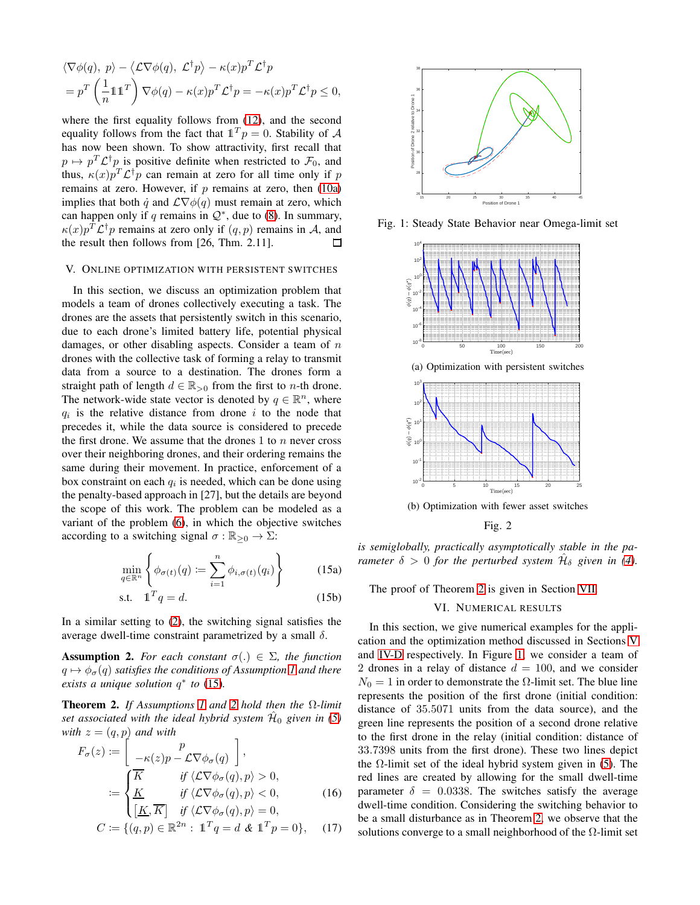$$
\langle \nabla \phi(q), p \rangle - \langle \mathcal{L} \nabla \phi(q), \mathcal{L}^{\dagger} p \rangle - \kappa(x) p^{T} \mathcal{L}^{\dagger} p = p^{T} \left( \frac{1}{n} \mathbb{1} \mathbb{1}^{T} \right) \nabla \phi(q) - \kappa(x) p^{T} \mathcal{L}^{\dagger} p = -\kappa(x) p^{T} \mathcal{L}^{\dagger} p \leq 0,
$$

where the first equality follows from [\(12\)](#page-2-7), and the second equality follows from the fact that  $\mathbb{1}^T p = 0$ . Stability of A has now been shown. To show attractivity, first recall that  $p \mapsto p^T \mathcal{L}^{\dagger} p$  is positive definite when restricted to  $\mathcal{F}_0$ , and thus,  $\kappa(x)p^{T}\mathcal{L}^{\dagger}p$  can remain at zero for all time only if p remains at zero. However, if  $p$  remains at zero, then  $(10a)$ implies that both  $\dot{q}$  and  $\mathcal{L}\nabla\phi(q)$  must remain at zero, which can happen only if q remains in  $\mathcal{Q}^*$ , due to [\(8\)](#page-2-9). In summary,  $\kappa(x)p^{T}\mathcal{L}^{\dagger}p$  remains at zero only if  $(q, p)$  remains in A, and the result then follows from [26, Thm. 2.11]. П

### <span id="page-3-4"></span>V. ONLINE OPTIMIZATION WITH PERSISTENT SWITCHES

In this section, we discuss an optimization problem that models a team of drones collectively executing a task. The drones are the assets that persistently switch in this scenario, due to each drone's limited battery life, potential physical damages, or other disabling aspects. Consider a team of  $n$ drones with the collective task of forming a relay to transmit data from a source to a destination. The drones form a straight path of length  $d \in \mathbb{R}_{>0}$  from the first to *n*-th drone. The network-wide state vector is denoted by  $q \in \mathbb{R}^n$ , where  $q_i$  is the relative distance from drone i to the node that precedes it, while the data source is considered to precede the first drone. We assume that the drones 1 to  $n$  never cross over their neighboring drones, and their ordering remains the same during their movement. In practice, enforcement of a box constraint on each  $q_i$  is needed, which can be done using the penalty-based approach in [27], but the details are beyond the scope of this work. The problem can be modeled as a variant of the problem [\(6\)](#page-2-2), in which the objective switches according to a switching signal  $\sigma : \mathbb{R}_{\geq 0} \to \Sigma$ :

$$
\min_{q \in \mathbb{R}^n} \left\{ \phi_{\sigma(t)}(q) \coloneqq \sum_{i=1}^n \phi_{i,\sigma(t)}(q_i) \right\} \tag{15a}
$$

$$
\text{s.t.} \quad \mathbb{1}^T q = d. \tag{15b}
$$

In a similar setting to [\(2\)](#page-1-1), the switching signal satisfies the average dwell-time constraint parametrized by a small  $δ$ .

<span id="page-3-2"></span>**Assumption 2.** For each constant  $\sigma(.) \in \Sigma$ , the function  $q \mapsto \phi_{\sigma}(q)$  *satisfies the conditions of Assumption [1](#page-2-1) and there exists a unique solution* q ∗ *to* [\(15\)](#page-3-1)*.*

<span id="page-3-3"></span>Theorem 2. *If Assumptions [1](#page-2-1) and [2](#page-3-2) hold then the* Ω*-limit* set associated with the ideal hybrid system  $\hat{\mathcal{H}}_0$  given in [\(5\)](#page-2-0) *with*  $z = (q, p)$  *and with* 

$$
F_{\sigma}(z) := \begin{bmatrix} p \\ -\kappa(z)p - \mathcal{L}\nabla\phi_{\sigma}(q) \end{bmatrix},
$$
  

$$
:= \begin{cases} \overline{K} & \text{if } \langle \mathcal{L}\nabla\phi_{\sigma}(q), p \rangle > 0, \\ \underline{K} & \text{if } \langle \mathcal{L}\nabla\phi_{\sigma}(q), p \rangle < 0, \\ \underline{[K, K]} & \text{if } \langle \mathcal{L}\nabla\phi_{\sigma}(q), p \rangle = 0, \end{cases}
$$
(16)

$$
C := \{ (q, p) \in \mathbb{R}^{2n} : \ \mathbb{1}^T q = d \& \ \mathbb{1}^T p = 0 \}, \quad (17)
$$

<span id="page-3-5"></span>

<span id="page-3-6"></span>Fig. 1: Steady State Behavior near Omega-limit set



Fig. 2

<span id="page-3-1"></span>*is semiglobally, practically asymptotically stable in the parameter*  $\delta > 0$  *for the perturbed system*  $\hat{\mathcal{H}}_{\delta}$  *given in [\(4\)](#page-1-3).* 

<span id="page-3-0"></span>The proof of Theorem [2](#page-3-3) is given in Section [VII.](#page-4-0)

#### VI. NUMERICAL RESULTS

In this section, we give numerical examples for the application and the optimization method discussed in Sections [V](#page-3-4) and [IV-D](#page-2-10) respectively. In Figure [1,](#page-3-5) we consider a team of 2 drones in a relay of distance  $d = 100$ , and we consider  $N_0 = 1$  in order to demonstrate the  $\Omega$ -limit set. The blue line represents the position of the first drone (initial condition: distance of 35.5071 units from the data source), and the green line represents the position of a second drone relative to the first drone in the relay (initial condition: distance of 33.7398 units from the first drone). These two lines depict the  $\Omega$ -limit set of the ideal hybrid system given in [\(5\)](#page-2-0). The red lines are created by allowing for the small dwell-time parameter  $\delta = 0.0338$ . The switches satisfy the average dwell-time condition. Considering the switching behavior to be a small disturbance as in Theorem [2,](#page-3-3) we observe that the solutions converge to a small neighborhood of the  $\Omega$ -limit set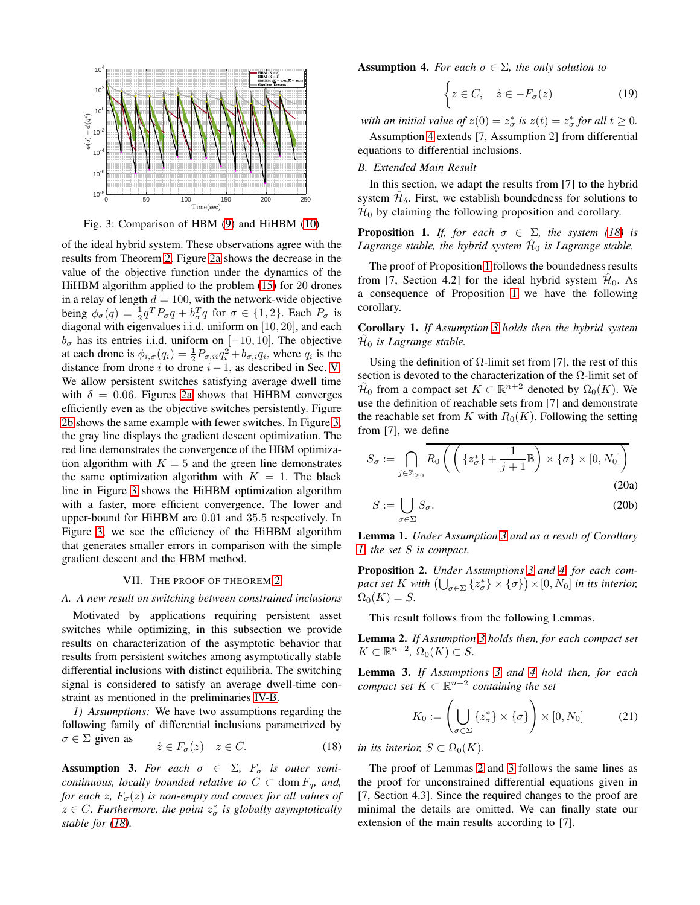<span id="page-4-1"></span>

Fig. 3: Comparison of HBM [\(9\)](#page-2-11) and HiHBM [\(10\)](#page-2-6)

of the ideal hybrid system. These observations agree with the results from Theorem [2.](#page-3-3) Figure [2a](#page-3-6) shows the decrease in the value of the objective function under the dynamics of the HiHBM algorithm applied to the problem [\(15\)](#page-3-1) for 20 drones in a relay of length  $d = 100$ , with the network-wide objective being  $\phi_{\sigma}(q) = \frac{1}{2}q^{T}P_{\sigma}q + b_{\sigma}^{T}q$  for  $\sigma \in \{1, 2\}$ . Each  $P_{\sigma}$  is diagonal with eigenvalues i.i.d. uniform on [10, 20], and each  $b_{\sigma}$  has its entries i.i.d. uniform on [−10, 10]. The objective at each drone is  $\phi_{i,\sigma}(q_i) = \frac{1}{2} P_{\sigma,ii} q_i^2 + b_{\sigma,i} q_i$ , where  $q_i$  is the distance from drone  $i$  to drone  $i-1$ , as described in Sec. [V.](#page-3-4) We allow persistent switches satisfying average dwell time with  $\delta = 0.06$ . Figures [2a](#page-3-6) shows that HiHBM converges efficiently even as the objective switches persistently. Figure [2b](#page-3-6) shows the same example with fewer switches. In Figure [3,](#page-4-1) the gray line displays the gradient descent optimization. The red line demonstrates the convergence of the HBM optimization algorithm with  $K = 5$  and the green line demonstrates the same optimization algorithm with  $K = 1$ . The black line in Figure [3](#page-4-1) shows the HiHBM optimization algorithm with a faster, more efficient convergence. The lower and upper-bound for HiHBM are 0.01 and 35.5 respectively. In Figure [3,](#page-4-1) we see the efficiency of the HiHBM algorithm that generates smaller errors in comparison with the simple gradient descent and the HBM method.

#### VII. THE PROOF OF THEOREM [2](#page-3-3)

#### <span id="page-4-0"></span>*A. A new result on switching between constrained inclusions*

Motivated by applications requiring persistent asset switches while optimizing, in this subsection we provide results on characterization of the asymptotic behavior that results from persistent switches among asymptotically stable differential inclusions with distinct equilibria. The switching signal is considered to satisfy an average dwell-time constraint as mentioned in the preliminaries [IV-B.](#page-1-4)

*1) Assumptions:* We have two assumptions regarding the following family of differential inclusions parametrized by  $\sigma \in \Sigma$  given as

$$
\dot{z} \in F_{\sigma}(z) \quad z \in C. \tag{18}
$$

<span id="page-4-5"></span>**Assumption 3.** For each  $\sigma \in \Sigma$ ,  $F_{\sigma}$  is outer semi*continuous, locally bounded relative to*  $C \subset \text{dom } F_q$ *, and, for each z,*  $F_{\sigma}(z)$  *is non-empty and convex for all values of*  $z \in C$ . Furthermore, the point  $z^*_{\sigma}$  is globally asymptotically *stable for [\(18\)](#page-4-2).*

<span id="page-4-3"></span>**Assumption 4.** For each  $\sigma \in \Sigma$ , the only solution to

<span id="page-4-10"></span>
$$
\begin{cases} z \in C, & \dot{z} \in -F_{\sigma}(z) \end{cases} \tag{19}
$$

*with an initial value of*  $z(0) = z^*_{\sigma}$  *is*  $z(t) = z^*_{\sigma}$  *for all*  $t \geq 0$ *.* 

Assumption [4](#page-4-3) extends [7, Assumption 2] from differential equations to differential inclusions.

# *B. Extended Main Result*

In this section, we adapt the results from [7] to the hybrid system  $\hat{\mathcal{H}}_{\delta}$ . First, we establish boundedness for solutions to  $\hat{H}_0$  by claiming the following proposition and corollary.

<span id="page-4-4"></span>**Proposition 1.** *If, for each*  $\sigma \in \Sigma$ *, the system [\(18\)](#page-4-2) is* Lagrange stable, the hybrid system  $\hat{\mathcal{H}}_0$  is Lagrange stable.

The proof of Proposition [1](#page-4-4) follows the boundedness results from [7, Section 4.2] for the ideal hybrid system  $\hat{\mathcal{H}}_0$ . As a consequence of Proposition [1](#page-4-4) we have the following corollary.

<span id="page-4-6"></span>Corollary 1. *If Assumption [3](#page-4-5) holds then the hybrid system*  $\hat{\mathcal{H}}_0$  is Lagrange stable.

Using the definition of  $\Omega$ -limit set from [7], the rest of this section is devoted to the characterization of the  $\Omega$ -limit set of  $\hat{\mathcal{H}}_0$  from a compact set  $K \subset \mathbb{R}^{n+2}$  denoted by  $\Omega_0(K)$ . We use the definition of reachable sets from [7] and demonstrate the reachable set from K with  $R_0(K)$ . Following the setting from [7], we define

$$
S_{\sigma} := \bigcap_{j \in \mathbb{Z}_{\geq 0}} R_0 \left( \left( \{ z_{\sigma}^* \} + \frac{1}{j+1} \mathbb{B} \right) \times \{ \sigma \} \times [0, N_0] \right)
$$
\n(20a)

<span id="page-4-9"></span>
$$
S := \bigcup_{\sigma \in \Sigma} S_{\sigma}.
$$
 (20b)

Lemma 1. *Under Assumption [3](#page-4-5) and as a result of Corollary [1,](#page-4-6) the set* S *is compact.*

<span id="page-4-11"></span>Proposition 2. *Under Assumptions [3](#page-4-5) and [4,](#page-4-3) for each compact set* K with  $\left(\bigcup_{\sigma \in \Sigma} \{z_{\sigma}^*\} \times \{\sigma\}\right) \times [0, N_0]$  *in its interior,*  $\Omega_0(K) = S.$ 

This result follows from the following Lemmas.

<span id="page-4-7"></span>Lemma 2. *If Assumption [3](#page-4-5) holds then, for each compact set*  $K \subset \mathbb{R}^{n+2}$ ,  $\Omega_0(K) \subset S$ .

<span id="page-4-8"></span>Lemma 3. *If Assumptions [3](#page-4-5) and [4](#page-4-3) hold then, for each*  $compact\ set\ K\subset \mathbb{R}^{n+2}\ containing\ the\ set$ 

$$
K_0 := \left(\bigcup_{\sigma \in \Sigma} \{z_{\sigma}^*\} \times \{\sigma\}\right) \times [0, N_0] \tag{21}
$$

<span id="page-4-2"></span>*in its interior,*  $S \subset \Omega_0(K)$ *.* 

The proof of Lemmas [2](#page-4-7) and [3](#page-4-8) follows the same lines as the proof for unconstrained differential equations given in [7, Section 4.3]. Since the required changes to the proof are minimal the details are omitted. We can finally state our extension of the main results according to [7].